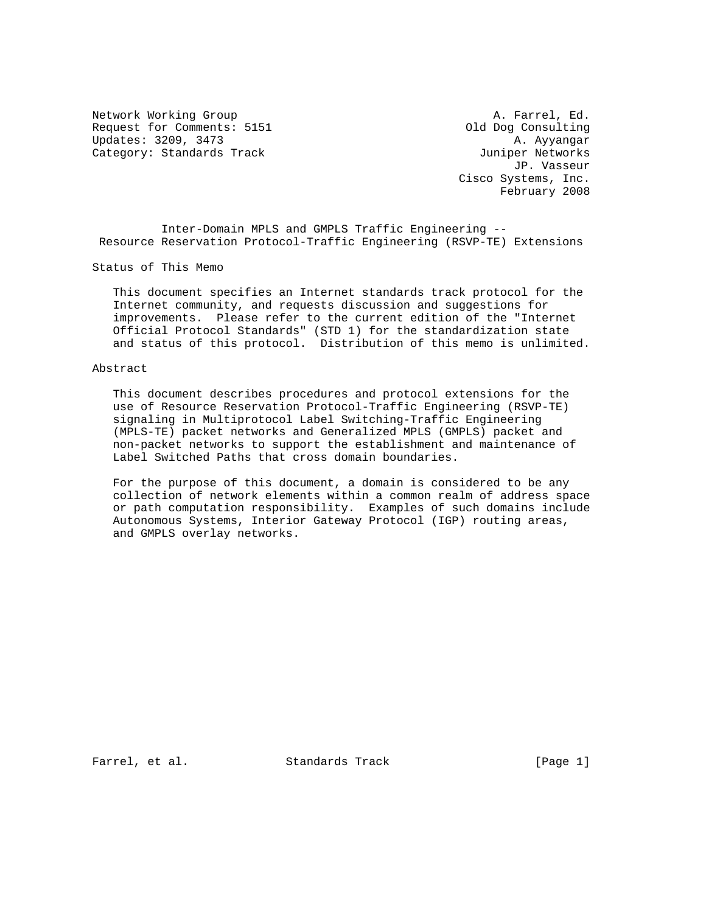Network Working Group and A. Farrel, Ed. Request for Comments: 5151 Old Dog Consulting Updates: 3209, 3473 A. Ayyangar Category: Standards Track and the Category: Standards Track

 JP. Vasseur Cisco Systems, Inc. February 2008

 Inter-Domain MPLS and GMPLS Traffic Engineering -- Resource Reservation Protocol-Traffic Engineering (RSVP-TE) Extensions

Status of This Memo

 This document specifies an Internet standards track protocol for the Internet community, and requests discussion and suggestions for improvements. Please refer to the current edition of the "Internet Official Protocol Standards" (STD 1) for the standardization state and status of this protocol. Distribution of this memo is unlimited.

#### Abstract

 This document describes procedures and protocol extensions for the use of Resource Reservation Protocol-Traffic Engineering (RSVP-TE) signaling in Multiprotocol Label Switching-Traffic Engineering (MPLS-TE) packet networks and Generalized MPLS (GMPLS) packet and non-packet networks to support the establishment and maintenance of Label Switched Paths that cross domain boundaries.

 For the purpose of this document, a domain is considered to be any collection of network elements within a common realm of address space or path computation responsibility. Examples of such domains include Autonomous Systems, Interior Gateway Protocol (IGP) routing areas, and GMPLS overlay networks.

Farrel, et al. Standards Track [Page 1]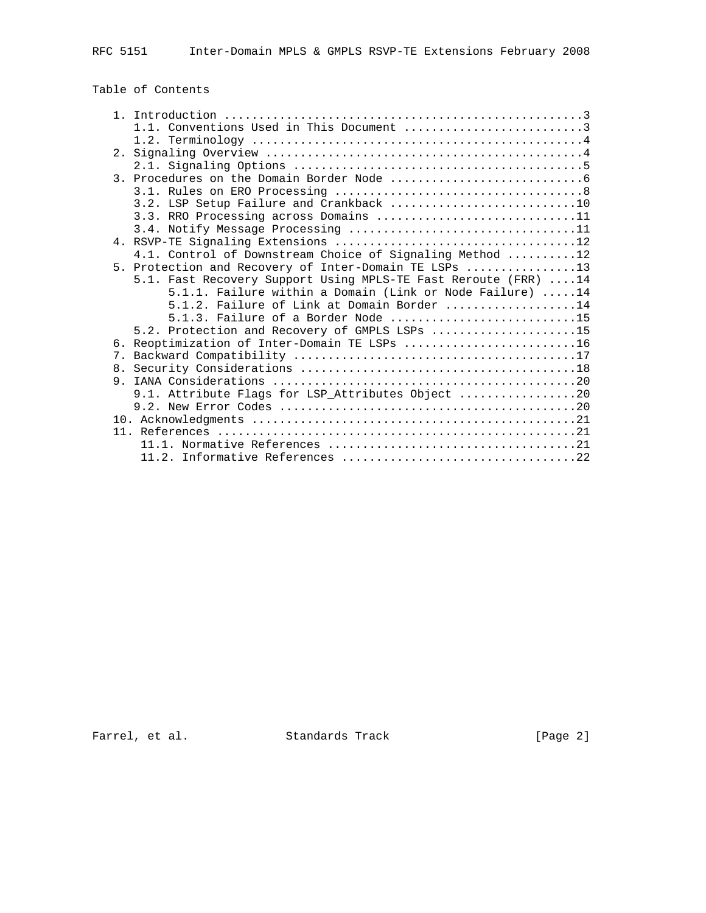# Table of Contents

|                | 1.1. Conventions Used in This Document 3                        |
|----------------|-----------------------------------------------------------------|
|                |                                                                 |
|                |                                                                 |
|                |                                                                 |
|                |                                                                 |
|                |                                                                 |
|                | 3.2. LSP Setup Failure and Crankback 10                         |
|                | 3.3. RRO Processing across Domains 11                           |
|                |                                                                 |
|                |                                                                 |
|                | 4.1. Control of Downstream Choice of Signaling Method 12        |
|                | 5. Protection and Recovery of Inter-Domain TE LSPs 13           |
|                | 5.1. Fast Recovery Support Using MPLS-TE Fast Reroute (FRR)  14 |
|                | 5.1.1. Failure within a Domain (Link or Node Failure) 14        |
|                | $5.1.2$ . Failure of Link at Domain Border 14                   |
|                | 5.1.3. Failure of a Border Node 15                              |
|                | 5.2. Protection and Recovery of GMPLS LSPs 15                   |
|                | 6. Reoptimization of Inter-Domain TE LSPs 16                    |
| 7.             |                                                                 |
|                |                                                                 |
| 9 <sub>1</sub> |                                                                 |
|                | 9.1. Attribute Flags for LSP_Attributes Object 20               |
|                |                                                                 |
|                |                                                                 |
|                |                                                                 |
|                |                                                                 |
|                |                                                                 |

Farrel, et al. Standards Track [Page 2]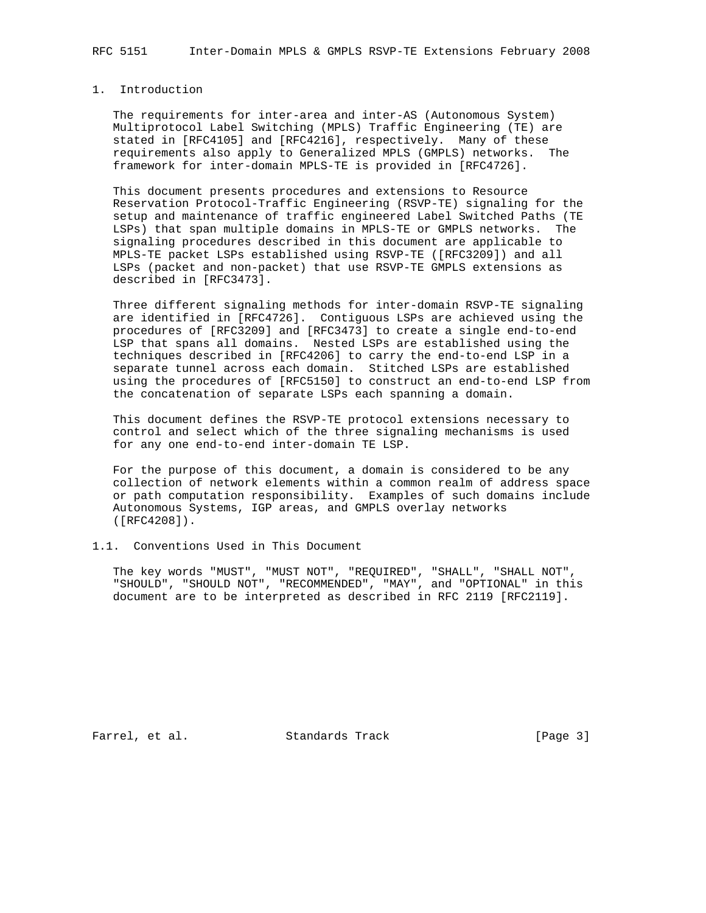### 1. Introduction

 The requirements for inter-area and inter-AS (Autonomous System) Multiprotocol Label Switching (MPLS) Traffic Engineering (TE) are stated in [RFC4105] and [RFC4216], respectively. Many of these requirements also apply to Generalized MPLS (GMPLS) networks. The framework for inter-domain MPLS-TE is provided in [RFC4726].

 This document presents procedures and extensions to Resource Reservation Protocol-Traffic Engineering (RSVP-TE) signaling for the setup and maintenance of traffic engineered Label Switched Paths (TE LSPs) that span multiple domains in MPLS-TE or GMPLS networks. The signaling procedures described in this document are applicable to MPLS-TE packet LSPs established using RSVP-TE ([RFC3209]) and all LSPs (packet and non-packet) that use RSVP-TE GMPLS extensions as described in [RFC3473].

 Three different signaling methods for inter-domain RSVP-TE signaling are identified in [RFC4726]. Contiguous LSPs are achieved using the procedures of [RFC3209] and [RFC3473] to create a single end-to-end LSP that spans all domains. Nested LSPs are established using the techniques described in [RFC4206] to carry the end-to-end LSP in a separate tunnel across each domain. Stitched LSPs are established using the procedures of [RFC5150] to construct an end-to-end LSP from the concatenation of separate LSPs each spanning a domain.

 This document defines the RSVP-TE protocol extensions necessary to control and select which of the three signaling mechanisms is used for any one end-to-end inter-domain TE LSP.

 For the purpose of this document, a domain is considered to be any collection of network elements within a common realm of address space or path computation responsibility. Examples of such domains include Autonomous Systems, IGP areas, and GMPLS overlay networks ([RFC4208]).

### 1.1. Conventions Used in This Document

 The key words "MUST", "MUST NOT", "REQUIRED", "SHALL", "SHALL NOT", "SHOULD", "SHOULD NOT", "RECOMMENDED", "MAY", and "OPTIONAL" in this document are to be interpreted as described in RFC 2119 [RFC2119].

Farrel, et al. Standards Track [Page 3]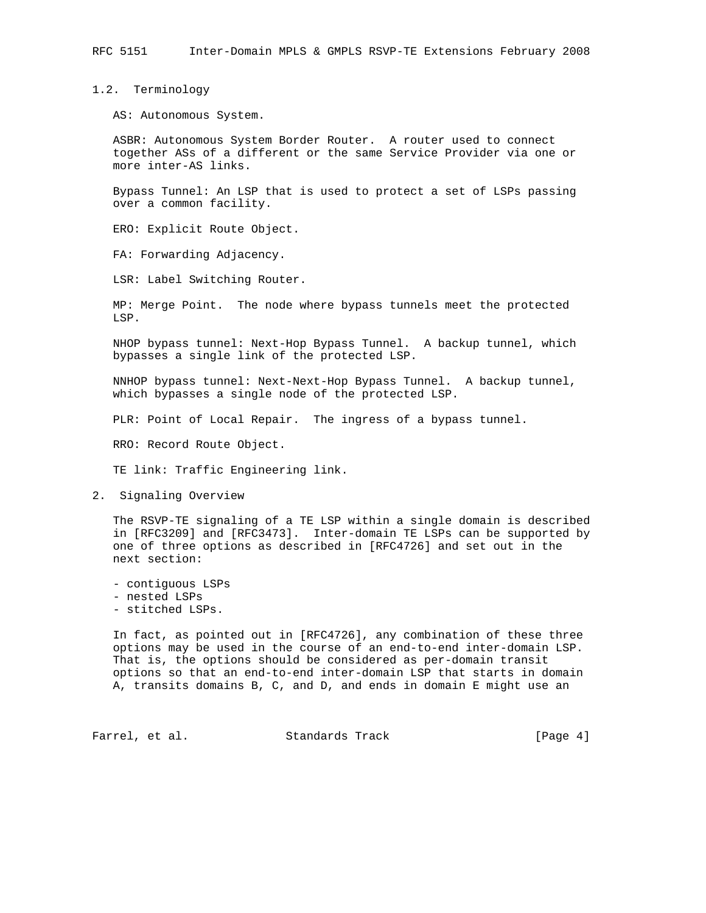1.2. Terminology

AS: Autonomous System.

 ASBR: Autonomous System Border Router. A router used to connect together ASs of a different or the same Service Provider via one or more inter-AS links.

 Bypass Tunnel: An LSP that is used to protect a set of LSPs passing over a common facility.

ERO: Explicit Route Object.

FA: Forwarding Adjacency.

LSR: Label Switching Router.

 MP: Merge Point. The node where bypass tunnels meet the protected LSP.

 NHOP bypass tunnel: Next-Hop Bypass Tunnel. A backup tunnel, which bypasses a single link of the protected LSP.

 NNHOP bypass tunnel: Next-Next-Hop Bypass Tunnel. A backup tunnel, which bypasses a single node of the protected LSP.

PLR: Point of Local Repair. The ingress of a bypass tunnel.

RRO: Record Route Object.

TE link: Traffic Engineering link.

2. Signaling Overview

 The RSVP-TE signaling of a TE LSP within a single domain is described in [RFC3209] and [RFC3473]. Inter-domain TE LSPs can be supported by one of three options as described in [RFC4726] and set out in the next section:

- contiguous LSPs

- nested LSPs
- stitched LSPs.

 In fact, as pointed out in [RFC4726], any combination of these three options may be used in the course of an end-to-end inter-domain LSP. That is, the options should be considered as per-domain transit options so that an end-to-end inter-domain LSP that starts in domain A, transits domains B, C, and D, and ends in domain E might use an

Farrel, et al. Standards Track [Page 4]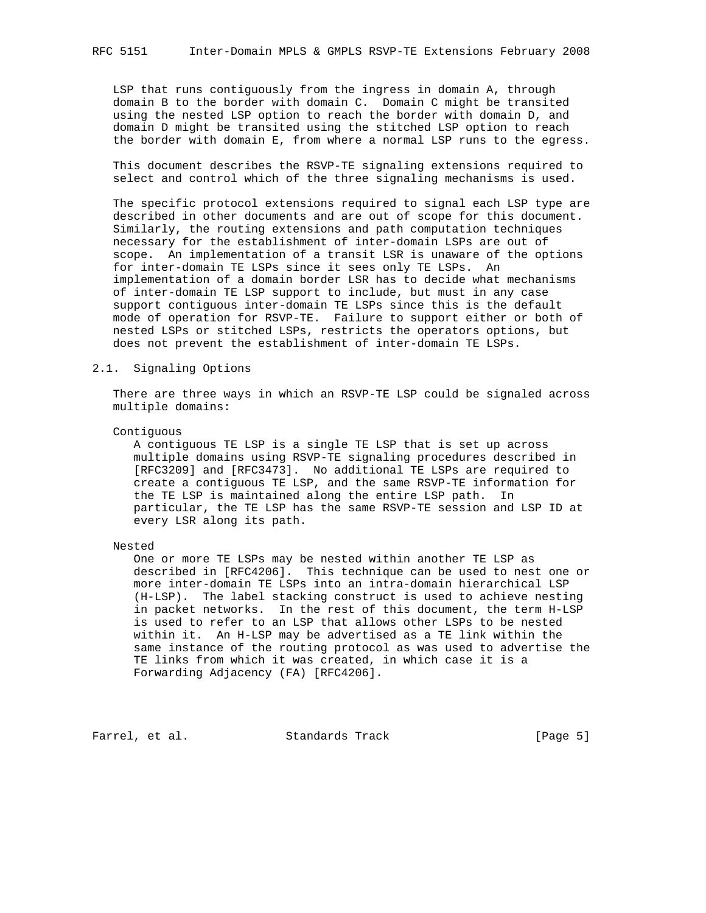LSP that runs contiguously from the ingress in domain A, through domain B to the border with domain C. Domain C might be transited using the nested LSP option to reach the border with domain D, and domain D might be transited using the stitched LSP option to reach the border with domain E, from where a normal LSP runs to the egress.

 This document describes the RSVP-TE signaling extensions required to select and control which of the three signaling mechanisms is used.

 The specific protocol extensions required to signal each LSP type are described in other documents and are out of scope for this document. Similarly, the routing extensions and path computation techniques necessary for the establishment of inter-domain LSPs are out of scope. An implementation of a transit LSR is unaware of the options for inter-domain TE LSPs since it sees only TE LSPs. An implementation of a domain border LSR has to decide what mechanisms of inter-domain TE LSP support to include, but must in any case support contiguous inter-domain TE LSPs since this is the default mode of operation for RSVP-TE. Failure to support either or both of nested LSPs or stitched LSPs, restricts the operators options, but does not prevent the establishment of inter-domain TE LSPs.

#### 2.1. Signaling Options

 There are three ways in which an RSVP-TE LSP could be signaled across multiple domains:

#### Contiguous

 A contiguous TE LSP is a single TE LSP that is set up across multiple domains using RSVP-TE signaling procedures described in [RFC3209] and [RFC3473]. No additional TE LSPs are required to create a contiguous TE LSP, and the same RSVP-TE information for the TE LSP is maintained along the entire LSP path. In particular, the TE LSP has the same RSVP-TE session and LSP ID at every LSR along its path.

#### Nested

 One or more TE LSPs may be nested within another TE LSP as described in [RFC4206]. This technique can be used to nest one or more inter-domain TE LSPs into an intra-domain hierarchical LSP (H-LSP). The label stacking construct is used to achieve nesting in packet networks. In the rest of this document, the term H-LSP is used to refer to an LSP that allows other LSPs to be nested within it. An H-LSP may be advertised as a TE link within the same instance of the routing protocol as was used to advertise the TE links from which it was created, in which case it is a Forwarding Adjacency (FA) [RFC4206].

Farrel, et al. Standards Track [Page 5]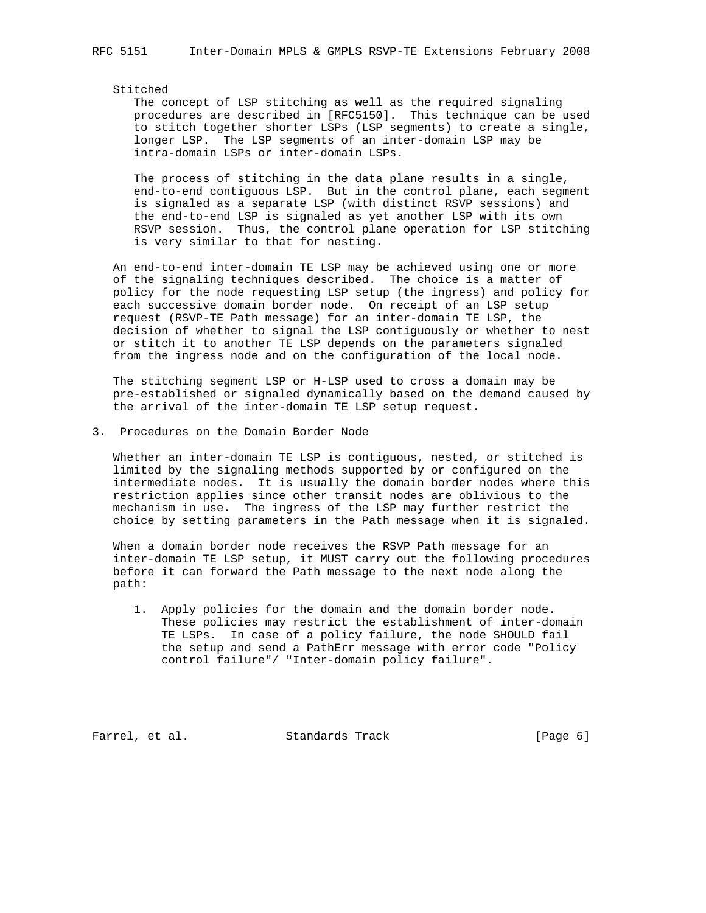#### Stitched

 The concept of LSP stitching as well as the required signaling procedures are described in [RFC5150]. This technique can be used to stitch together shorter LSPs (LSP segments) to create a single, longer LSP. The LSP segments of an inter-domain LSP may be intra-domain LSPs or inter-domain LSPs.

 The process of stitching in the data plane results in a single, end-to-end contiguous LSP. But in the control plane, each segment is signaled as a separate LSP (with distinct RSVP sessions) and the end-to-end LSP is signaled as yet another LSP with its own RSVP session. Thus, the control plane operation for LSP stitching is very similar to that for nesting.

 An end-to-end inter-domain TE LSP may be achieved using one or more of the signaling techniques described. The choice is a matter of policy for the node requesting LSP setup (the ingress) and policy for each successive domain border node. On receipt of an LSP setup request (RSVP-TE Path message) for an inter-domain TE LSP, the decision of whether to signal the LSP contiguously or whether to nest or stitch it to another TE LSP depends on the parameters signaled from the ingress node and on the configuration of the local node.

 The stitching segment LSP or H-LSP used to cross a domain may be pre-established or signaled dynamically based on the demand caused by the arrival of the inter-domain TE LSP setup request.

3. Procedures on the Domain Border Node

 Whether an inter-domain TE LSP is contiguous, nested, or stitched is limited by the signaling methods supported by or configured on the intermediate nodes. It is usually the domain border nodes where this restriction applies since other transit nodes are oblivious to the mechanism in use. The ingress of the LSP may further restrict the choice by setting parameters in the Path message when it is signaled.

 When a domain border node receives the RSVP Path message for an inter-domain TE LSP setup, it MUST carry out the following procedures before it can forward the Path message to the next node along the path:

 1. Apply policies for the domain and the domain border node. These policies may restrict the establishment of inter-domain TE LSPs. In case of a policy failure, the node SHOULD fail the setup and send a PathErr message with error code "Policy control failure"/ "Inter-domain policy failure".

Farrel, et al. Standards Track [Page 6]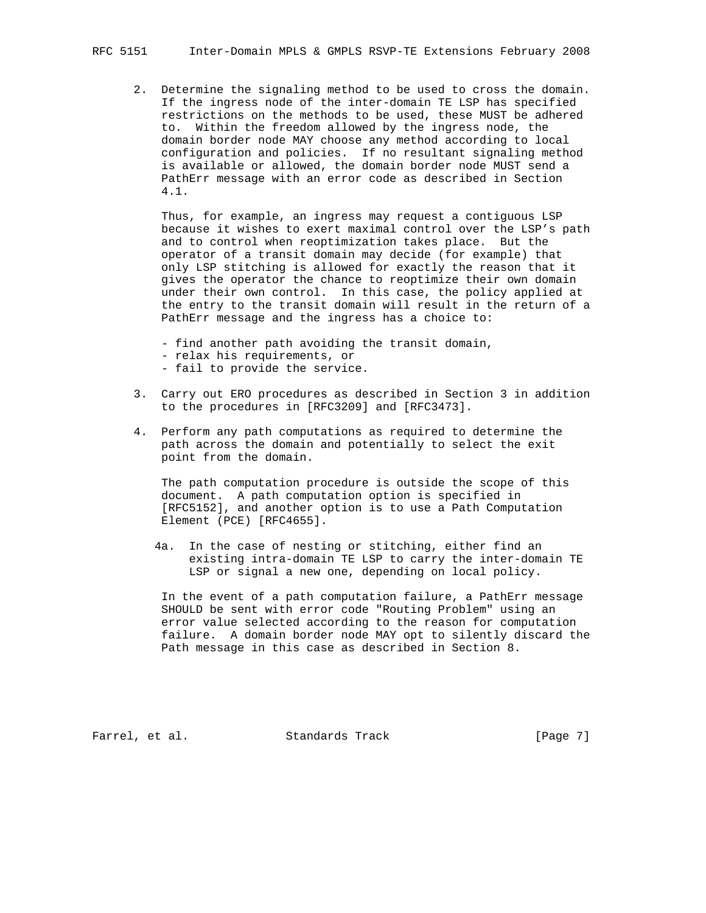2. Determine the signaling method to be used to cross the domain. If the ingress node of the inter-domain TE LSP has specified restrictions on the methods to be used, these MUST be adhered to. Within the freedom allowed by the ingress node, the domain border node MAY choose any method according to local configuration and policies. If no resultant signaling method is available or allowed, the domain border node MUST send a PathErr message with an error code as described in Section 4.1.

 Thus, for example, an ingress may request a contiguous LSP because it wishes to exert maximal control over the LSP's path and to control when reoptimization takes place. But the operator of a transit domain may decide (for example) that only LSP stitching is allowed for exactly the reason that it gives the operator the chance to reoptimize their own domain under their own control. In this case, the policy applied at the entry to the transit domain will result in the return of a PathErr message and the ingress has a choice to:

- find another path avoiding the transit domain,
- relax his requirements, or
- fail to provide the service.
- 3. Carry out ERO procedures as described in Section 3 in addition to the procedures in [RFC3209] and [RFC3473].
- 4. Perform any path computations as required to determine the path across the domain and potentially to select the exit point from the domain.

 The path computation procedure is outside the scope of this document. A path computation option is specified in [RFC5152], and another option is to use a Path Computation Element (PCE) [RFC4655].

 4a. In the case of nesting or stitching, either find an existing intra-domain TE LSP to carry the inter-domain TE LSP or signal a new one, depending on local policy.

 In the event of a path computation failure, a PathErr message SHOULD be sent with error code "Routing Problem" using an error value selected according to the reason for computation failure. A domain border node MAY opt to silently discard the Path message in this case as described in Section 8.

Farrel, et al. Standards Track [Page 7]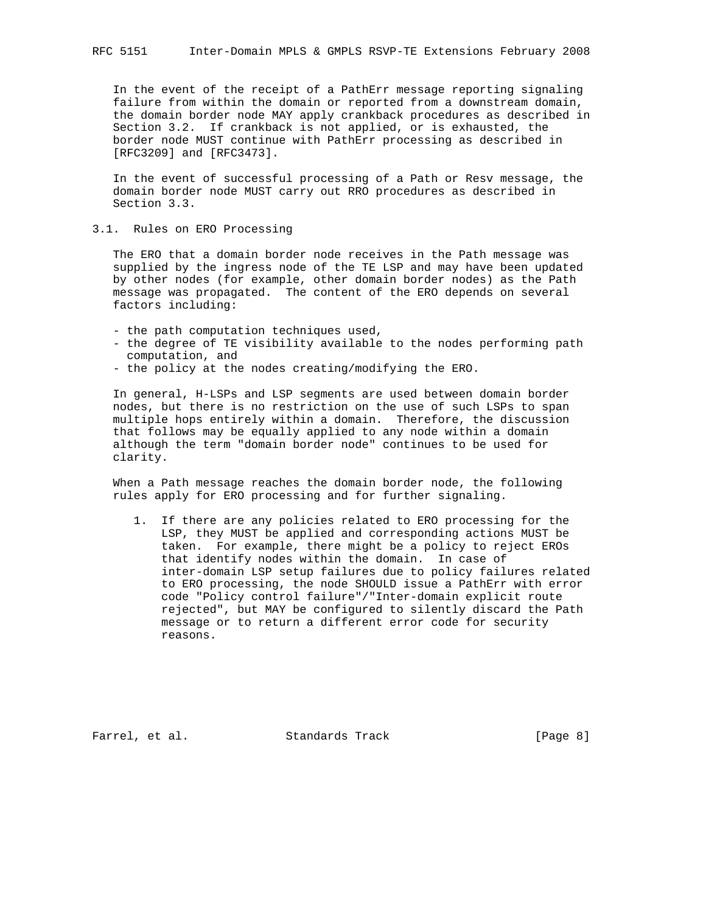In the event of the receipt of a PathErr message reporting signaling failure from within the domain or reported from a downstream domain, the domain border node MAY apply crankback procedures as described in Section 3.2. If crankback is not applied, or is exhausted, the border node MUST continue with PathErr processing as described in [RFC3209] and [RFC3473].

 In the event of successful processing of a Path or Resv message, the domain border node MUST carry out RRO procedures as described in Section 3.3.

3.1. Rules on ERO Processing

 The ERO that a domain border node receives in the Path message was supplied by the ingress node of the TE LSP and may have been updated by other nodes (for example, other domain border nodes) as the Path message was propagated. The content of the ERO depends on several factors including:

- the path computation techniques used,
- the degree of TE visibility available to the nodes performing path computation, and
- the policy at the nodes creating/modifying the ERO.

 In general, H-LSPs and LSP segments are used between domain border nodes, but there is no restriction on the use of such LSPs to span multiple hops entirely within a domain. Therefore, the discussion that follows may be equally applied to any node within a domain although the term "domain border node" continues to be used for clarity.

 When a Path message reaches the domain border node, the following rules apply for ERO processing and for further signaling.

 1. If there are any policies related to ERO processing for the LSP, they MUST be applied and corresponding actions MUST be taken. For example, there might be a policy to reject EROs that identify nodes within the domain. In case of inter-domain LSP setup failures due to policy failures related to ERO processing, the node SHOULD issue a PathErr with error code "Policy control failure"/"Inter-domain explicit route rejected", but MAY be configured to silently discard the Path message or to return a different error code for security reasons.

Farrel, et al. Standards Track [Page 8]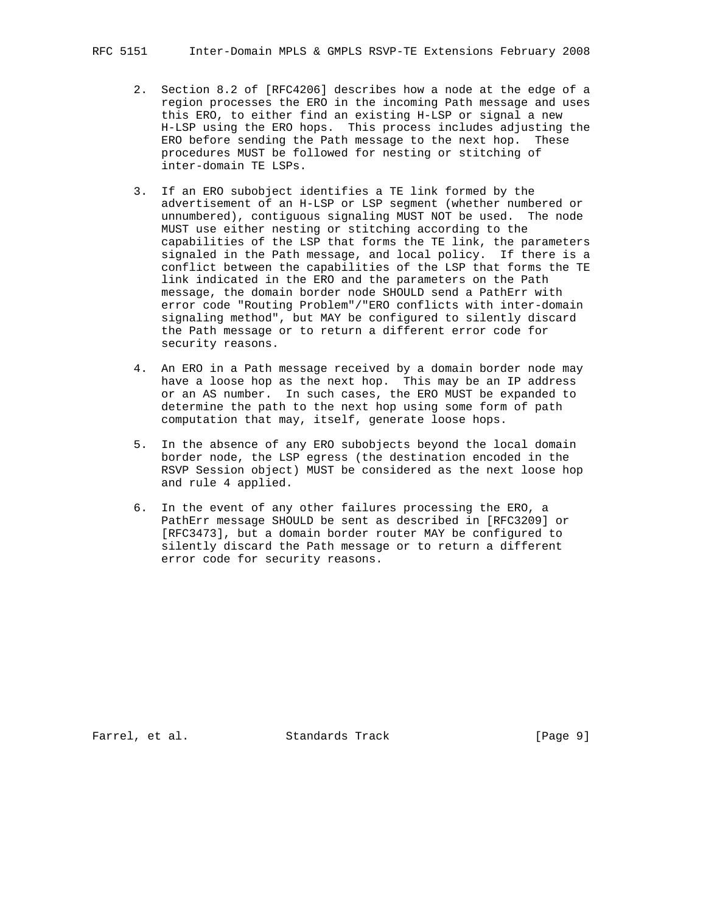- 2. Section 8.2 of [RFC4206] describes how a node at the edge of a region processes the ERO in the incoming Path message and uses this ERO, to either find an existing H-LSP or signal a new H-LSP using the ERO hops. This process includes adjusting the ERO before sending the Path message to the next hop. These procedures MUST be followed for nesting or stitching of inter-domain TE LSPs.
- 3. If an ERO subobject identifies a TE link formed by the advertisement of an H-LSP or LSP segment (whether numbered or unnumbered), contiguous signaling MUST NOT be used. The node MUST use either nesting or stitching according to the capabilities of the LSP that forms the TE link, the parameters signaled in the Path message, and local policy. If there is a conflict between the capabilities of the LSP that forms the TE link indicated in the ERO and the parameters on the Path message, the domain border node SHOULD send a PathErr with error code "Routing Problem"/"ERO conflicts with inter-domain signaling method", but MAY be configured to silently discard the Path message or to return a different error code for security reasons.
- 4. An ERO in a Path message received by a domain border node may have a loose hop as the next hop. This may be an IP address or an AS number. In such cases, the ERO MUST be expanded to determine the path to the next hop using some form of path computation that may, itself, generate loose hops.
- 5. In the absence of any ERO subobjects beyond the local domain border node, the LSP egress (the destination encoded in the RSVP Session object) MUST be considered as the next loose hop and rule 4 applied.
- 6. In the event of any other failures processing the ERO, a PathErr message SHOULD be sent as described in [RFC3209] or [RFC3473], but a domain border router MAY be configured to silently discard the Path message or to return a different error code for security reasons.

Farrel, et al. Standards Track [Page 9]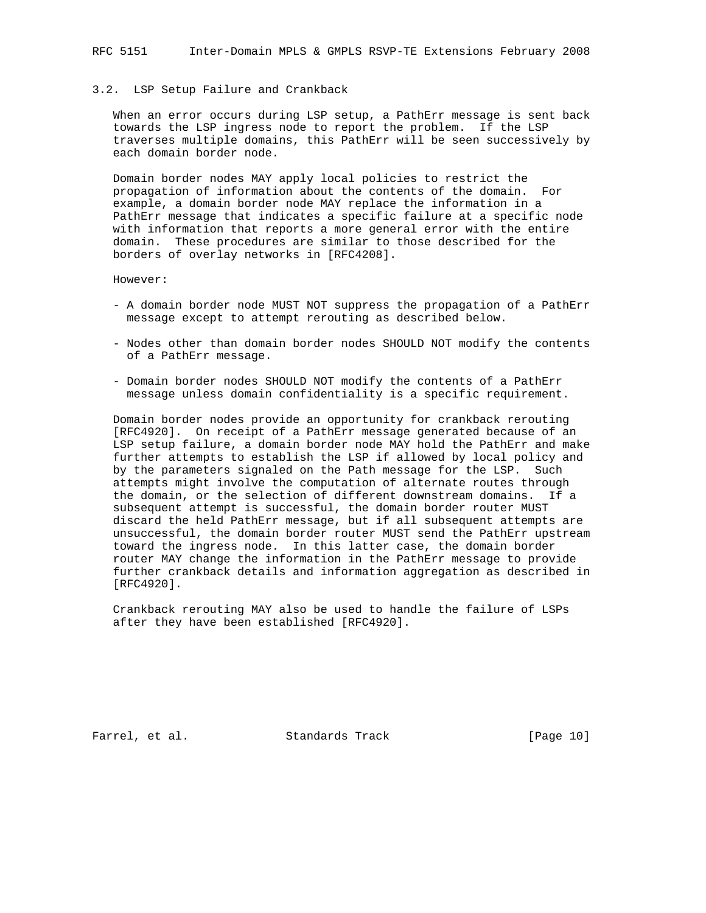#### 3.2. LSP Setup Failure and Crankback

 When an error occurs during LSP setup, a PathErr message is sent back towards the LSP ingress node to report the problem. If the LSP traverses multiple domains, this PathErr will be seen successively by each domain border node.

 Domain border nodes MAY apply local policies to restrict the propagation of information about the contents of the domain. For example, a domain border node MAY replace the information in a PathErr message that indicates a specific failure at a specific node with information that reports a more general error with the entire domain. These procedures are similar to those described for the borders of overlay networks in [RFC4208].

However:

- A domain border node MUST NOT suppress the propagation of a PathErr message except to attempt rerouting as described below.
- Nodes other than domain border nodes SHOULD NOT modify the contents of a PathErr message.
- Domain border nodes SHOULD NOT modify the contents of a PathErr message unless domain confidentiality is a specific requirement.

 Domain border nodes provide an opportunity for crankback rerouting [RFC4920]. On receipt of a PathErr message generated because of an LSP setup failure, a domain border node MAY hold the PathErr and make further attempts to establish the LSP if allowed by local policy and by the parameters signaled on the Path message for the LSP. Such attempts might involve the computation of alternate routes through the domain, or the selection of different downstream domains. If a subsequent attempt is successful, the domain border router MUST discard the held PathErr message, but if all subsequent attempts are unsuccessful, the domain border router MUST send the PathErr upstream toward the ingress node. In this latter case, the domain border router MAY change the information in the PathErr message to provide further crankback details and information aggregation as described in [RFC4920].

 Crankback rerouting MAY also be used to handle the failure of LSPs after they have been established [RFC4920].

Farrel, et al. Standards Track [Page 10]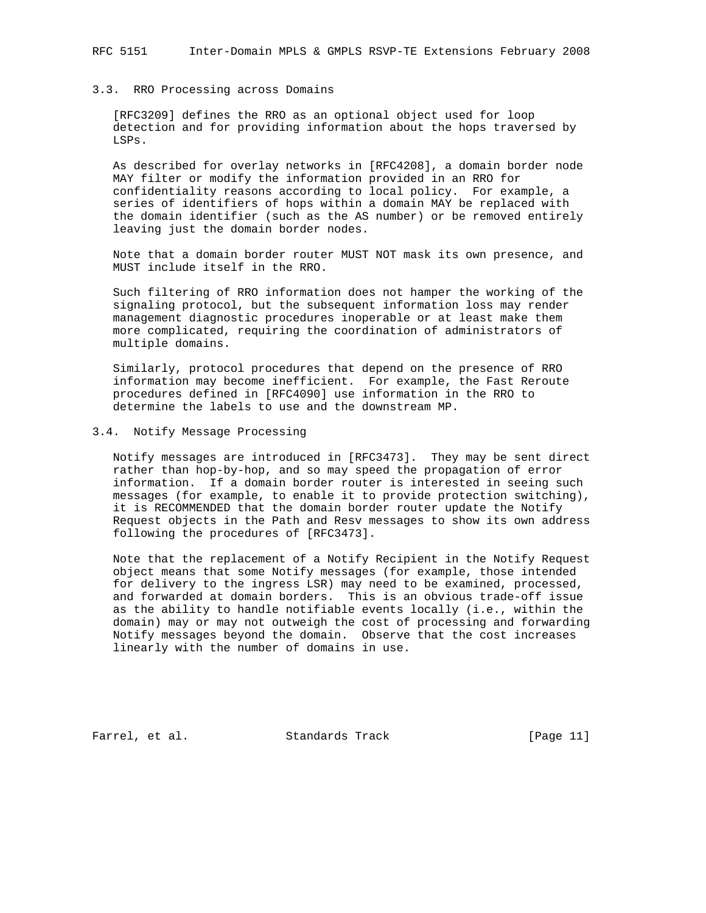#### 3.3. RRO Processing across Domains

 [RFC3209] defines the RRO as an optional object used for loop detection and for providing information about the hops traversed by LSPs.

 As described for overlay networks in [RFC4208], a domain border node MAY filter or modify the information provided in an RRO for confidentiality reasons according to local policy. For example, a series of identifiers of hops within a domain MAY be replaced with the domain identifier (such as the AS number) or be removed entirely leaving just the domain border nodes.

 Note that a domain border router MUST NOT mask its own presence, and MUST include itself in the RRO.

 Such filtering of RRO information does not hamper the working of the signaling protocol, but the subsequent information loss may render management diagnostic procedures inoperable or at least make them more complicated, requiring the coordination of administrators of multiple domains.

 Similarly, protocol procedures that depend on the presence of RRO information may become inefficient. For example, the Fast Reroute procedures defined in [RFC4090] use information in the RRO to determine the labels to use and the downstream MP.

#### 3.4. Notify Message Processing

 Notify messages are introduced in [RFC3473]. They may be sent direct rather than hop-by-hop, and so may speed the propagation of error information. If a domain border router is interested in seeing such messages (for example, to enable it to provide protection switching), it is RECOMMENDED that the domain border router update the Notify Request objects in the Path and Resv messages to show its own address following the procedures of [RFC3473].

 Note that the replacement of a Notify Recipient in the Notify Request object means that some Notify messages (for example, those intended for delivery to the ingress LSR) may need to be examined, processed, and forwarded at domain borders. This is an obvious trade-off issue as the ability to handle notifiable events locally (i.e., within the domain) may or may not outweigh the cost of processing and forwarding Notify messages beyond the domain. Observe that the cost increases linearly with the number of domains in use.

Farrel, et al. Standards Track [Page 11]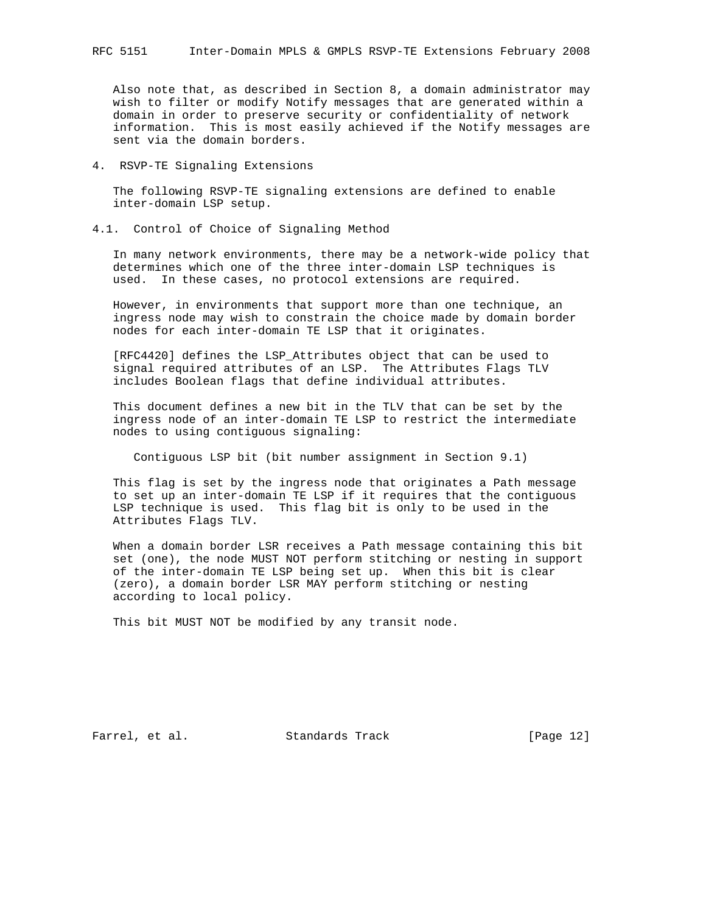Also note that, as described in Section 8, a domain administrator may wish to filter or modify Notify messages that are generated within a domain in order to preserve security or confidentiality of network information. This is most easily achieved if the Notify messages are sent via the domain borders.

4. RSVP-TE Signaling Extensions

 The following RSVP-TE signaling extensions are defined to enable inter-domain LSP setup.

4.1. Control of Choice of Signaling Method

 In many network environments, there may be a network-wide policy that determines which one of the three inter-domain LSP techniques is used. In these cases, no protocol extensions are required.

 However, in environments that support more than one technique, an ingress node may wish to constrain the choice made by domain border nodes for each inter-domain TE LSP that it originates.

 [RFC4420] defines the LSP\_Attributes object that can be used to signal required attributes of an LSP. The Attributes Flags TLV includes Boolean flags that define individual attributes.

 This document defines a new bit in the TLV that can be set by the ingress node of an inter-domain TE LSP to restrict the intermediate nodes to using contiguous signaling:

Contiguous LSP bit (bit number assignment in Section 9.1)

 This flag is set by the ingress node that originates a Path message to set up an inter-domain TE LSP if it requires that the contiguous LSP technique is used. This flag bit is only to be used in the Attributes Flags TLV.

 When a domain border LSR receives a Path message containing this bit set (one), the node MUST NOT perform stitching or nesting in support of the inter-domain TE LSP being set up. When this bit is clear (zero), a domain border LSR MAY perform stitching or nesting according to local policy.

This bit MUST NOT be modified by any transit node.

Farrel, et al. Standards Track [Page 12]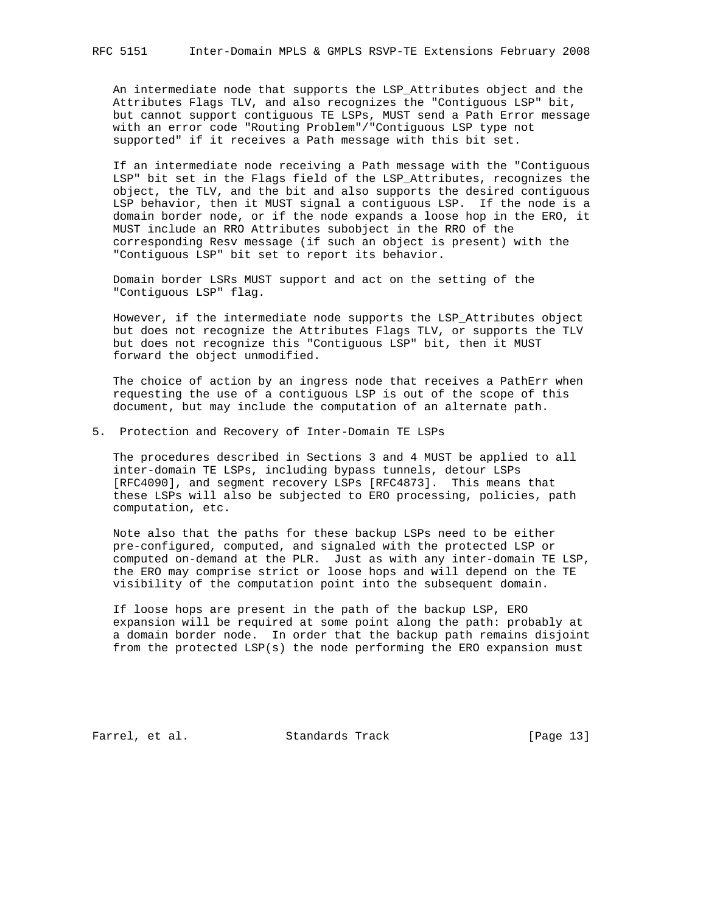An intermediate node that supports the LSP\_Attributes object and the Attributes Flags TLV, and also recognizes the "Contiguous LSP" bit, but cannot support contiguous TE LSPs, MUST send a Path Error message with an error code "Routing Problem"/"Contiguous LSP type not supported" if it receives a Path message with this bit set.

 If an intermediate node receiving a Path message with the "Contiguous LSP" bit set in the Flags field of the LSP\_Attributes, recognizes the object, the TLV, and the bit and also supports the desired contiguous LSP behavior, then it MUST signal a contiguous LSP. If the node is a domain border node, or if the node expands a loose hop in the ERO, it MUST include an RRO Attributes subobject in the RRO of the corresponding Resv message (if such an object is present) with the "Contiguous LSP" bit set to report its behavior.

 Domain border LSRs MUST support and act on the setting of the "Contiguous LSP" flag.

 However, if the intermediate node supports the LSP\_Attributes object but does not recognize the Attributes Flags TLV, or supports the TLV but does not recognize this "Contiguous LSP" bit, then it MUST forward the object unmodified.

 The choice of action by an ingress node that receives a PathErr when requesting the use of a contiguous LSP is out of the scope of this document, but may include the computation of an alternate path.

5. Protection and Recovery of Inter-Domain TE LSPs

 The procedures described in Sections 3 and 4 MUST be applied to all inter-domain TE LSPs, including bypass tunnels, detour LSPs [RFC4090], and segment recovery LSPs [RFC4873]. This means that these LSPs will also be subjected to ERO processing, policies, path computation, etc.

 Note also that the paths for these backup LSPs need to be either pre-configured, computed, and signaled with the protected LSP or computed on-demand at the PLR. Just as with any inter-domain TE LSP, the ERO may comprise strict or loose hops and will depend on the TE visibility of the computation point into the subsequent domain.

 If loose hops are present in the path of the backup LSP, ERO expansion will be required at some point along the path: probably at a domain border node. In order that the backup path remains disjoint from the protected LSP(s) the node performing the ERO expansion must

Farrel, et al. Standards Track [Page 13]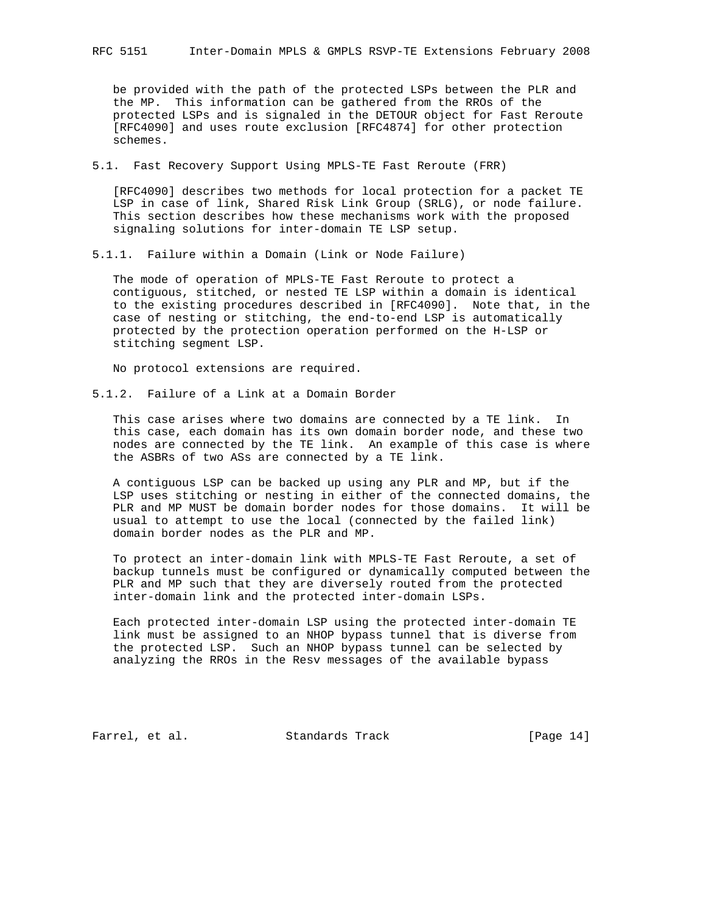be provided with the path of the protected LSPs between the PLR and the MP. This information can be gathered from the RROs of the protected LSPs and is signaled in the DETOUR object for Fast Reroute [RFC4090] and uses route exclusion [RFC4874] for other protection schemes.

5.1. Fast Recovery Support Using MPLS-TE Fast Reroute (FRR)

 [RFC4090] describes two methods for local protection for a packet TE LSP in case of link, Shared Risk Link Group (SRLG), or node failure. This section describes how these mechanisms work with the proposed signaling solutions for inter-domain TE LSP setup.

5.1.1. Failure within a Domain (Link or Node Failure)

 The mode of operation of MPLS-TE Fast Reroute to protect a contiguous, stitched, or nested TE LSP within a domain is identical to the existing procedures described in [RFC4090]. Note that, in the case of nesting or stitching, the end-to-end LSP is automatically protected by the protection operation performed on the H-LSP or stitching segment LSP.

No protocol extensions are required.

5.1.2. Failure of a Link at a Domain Border

 This case arises where two domains are connected by a TE link. In this case, each domain has its own domain border node, and these two nodes are connected by the TE link. An example of this case is where the ASBRs of two ASs are connected by a TE link.

 A contiguous LSP can be backed up using any PLR and MP, but if the LSP uses stitching or nesting in either of the connected domains, the PLR and MP MUST be domain border nodes for those domains. It will be usual to attempt to use the local (connected by the failed link) domain border nodes as the PLR and MP.

 To protect an inter-domain link with MPLS-TE Fast Reroute, a set of backup tunnels must be configured or dynamically computed between the PLR and MP such that they are diversely routed from the protected inter-domain link and the protected inter-domain LSPs.

 Each protected inter-domain LSP using the protected inter-domain TE link must be assigned to an NHOP bypass tunnel that is diverse from the protected LSP. Such an NHOP bypass tunnel can be selected by analyzing the RROs in the Resv messages of the available bypass

Farrel, et al. Standards Track [Page 14]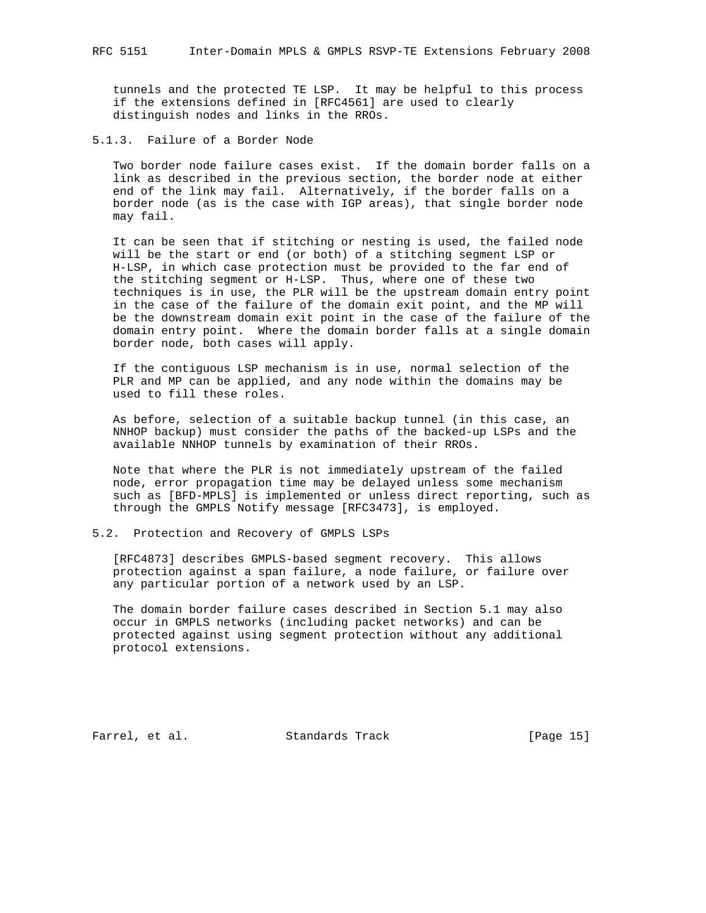tunnels and the protected TE LSP. It may be helpful to this process if the extensions defined in [RFC4561] are used to clearly distinguish nodes and links in the RROs.

5.1.3. Failure of a Border Node

 Two border node failure cases exist. If the domain border falls on a link as described in the previous section, the border node at either end of the link may fail. Alternatively, if the border falls on a border node (as is the case with IGP areas), that single border node may fail.

 It can be seen that if stitching or nesting is used, the failed node will be the start or end (or both) of a stitching segment LSP or H-LSP, in which case protection must be provided to the far end of the stitching segment or H-LSP. Thus, where one of these two techniques is in use, the PLR will be the upstream domain entry point in the case of the failure of the domain exit point, and the MP will be the downstream domain exit point in the case of the failure of the domain entry point. Where the domain border falls at a single domain border node, both cases will apply.

 If the contiguous LSP mechanism is in use, normal selection of the PLR and MP can be applied, and any node within the domains may be used to fill these roles.

 As before, selection of a suitable backup tunnel (in this case, an NNHOP backup) must consider the paths of the backed-up LSPs and the available NNHOP tunnels by examination of their RROs.

 Note that where the PLR is not immediately upstream of the failed node, error propagation time may be delayed unless some mechanism such as [BFD-MPLS] is implemented or unless direct reporting, such as through the GMPLS Notify message [RFC3473], is employed.

5.2. Protection and Recovery of GMPLS LSPs

 [RFC4873] describes GMPLS-based segment recovery. This allows protection against a span failure, a node failure, or failure over any particular portion of a network used by an LSP.

 The domain border failure cases described in Section 5.1 may also occur in GMPLS networks (including packet networks) and can be protected against using segment protection without any additional protocol extensions.

Farrel, et al. Standards Track [Page 15]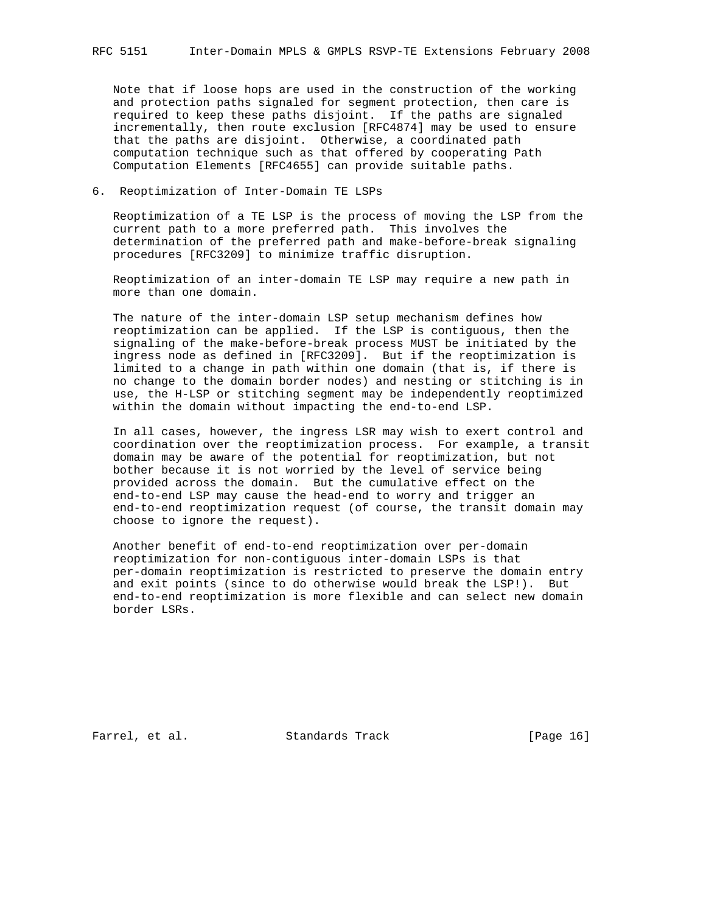Note that if loose hops are used in the construction of the working and protection paths signaled for segment protection, then care is required to keep these paths disjoint. If the paths are signaled incrementally, then route exclusion [RFC4874] may be used to ensure that the paths are disjoint. Otherwise, a coordinated path computation technique such as that offered by cooperating Path Computation Elements [RFC4655] can provide suitable paths.

# 6. Reoptimization of Inter-Domain TE LSPs

 Reoptimization of a TE LSP is the process of moving the LSP from the current path to a more preferred path. This involves the determination of the preferred path and make-before-break signaling procedures [RFC3209] to minimize traffic disruption.

 Reoptimization of an inter-domain TE LSP may require a new path in more than one domain.

 The nature of the inter-domain LSP setup mechanism defines how reoptimization can be applied. If the LSP is contiguous, then the signaling of the make-before-break process MUST be initiated by the ingress node as defined in [RFC3209]. But if the reoptimization is limited to a change in path within one domain (that is, if there is no change to the domain border nodes) and nesting or stitching is in use, the H-LSP or stitching segment may be independently reoptimized within the domain without impacting the end-to-end LSP.

 In all cases, however, the ingress LSR may wish to exert control and coordination over the reoptimization process. For example, a transit domain may be aware of the potential for reoptimization, but not bother because it is not worried by the level of service being provided across the domain. But the cumulative effect on the end-to-end LSP may cause the head-end to worry and trigger an end-to-end reoptimization request (of course, the transit domain may choose to ignore the request).

 Another benefit of end-to-end reoptimization over per-domain reoptimization for non-contiguous inter-domain LSPs is that per-domain reoptimization is restricted to preserve the domain entry and exit points (since to do otherwise would break the LSP!). But end-to-end reoptimization is more flexible and can select new domain border LSRs.

Farrel, et al. Standards Track [Page 16]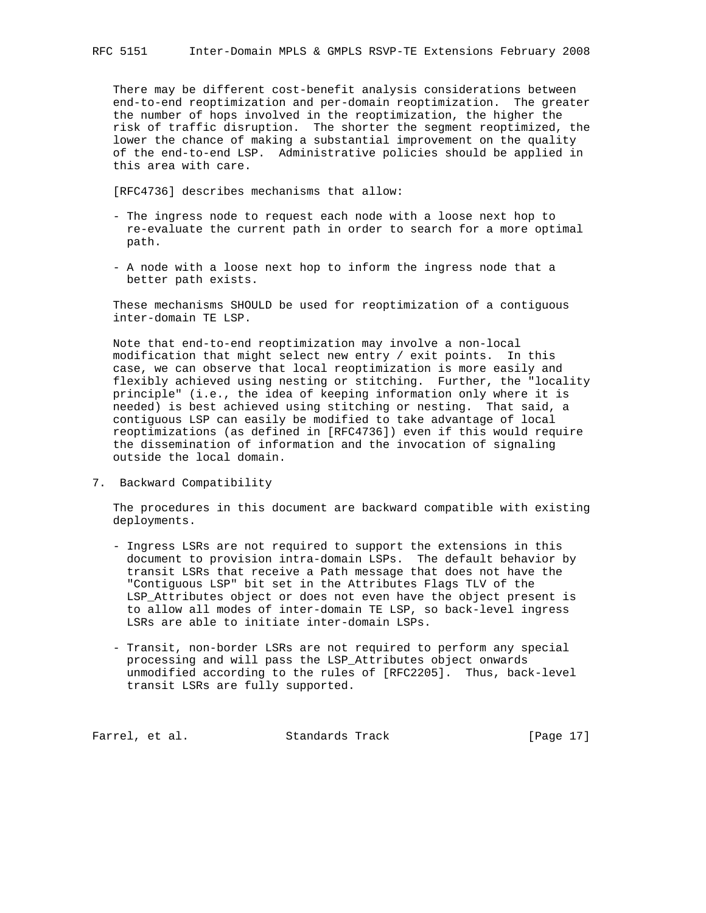There may be different cost-benefit analysis considerations between end-to-end reoptimization and per-domain reoptimization. The greater the number of hops involved in the reoptimization, the higher the risk of traffic disruption. The shorter the segment reoptimized, the lower the chance of making a substantial improvement on the quality of the end-to-end LSP. Administrative policies should be applied in this area with care.

[RFC4736] describes mechanisms that allow:

- The ingress node to request each node with a loose next hop to re-evaluate the current path in order to search for a more optimal path.
- A node with a loose next hop to inform the ingress node that a better path exists.

 These mechanisms SHOULD be used for reoptimization of a contiguous inter-domain TE LSP.

 Note that end-to-end reoptimization may involve a non-local modification that might select new entry / exit points. In this case, we can observe that local reoptimization is more easily and flexibly achieved using nesting or stitching. Further, the "locality principle" (i.e., the idea of keeping information only where it is needed) is best achieved using stitching or nesting. That said, a contiguous LSP can easily be modified to take advantage of local reoptimizations (as defined in [RFC4736]) even if this would require the dissemination of information and the invocation of signaling outside the local domain.

7. Backward Compatibility

 The procedures in this document are backward compatible with existing deployments.

- Ingress LSRs are not required to support the extensions in this document to provision intra-domain LSPs. The default behavior by transit LSRs that receive a Path message that does not have the "Contiguous LSP" bit set in the Attributes Flags TLV of the LSP\_Attributes object or does not even have the object present is to allow all modes of inter-domain TE LSP, so back-level ingress LSRs are able to initiate inter-domain LSPs.
- Transit, non-border LSRs are not required to perform any special processing and will pass the LSP\_Attributes object onwards unmodified according to the rules of [RFC2205]. Thus, back-level transit LSRs are fully supported.

Farrel, et al. Standards Track [Page 17]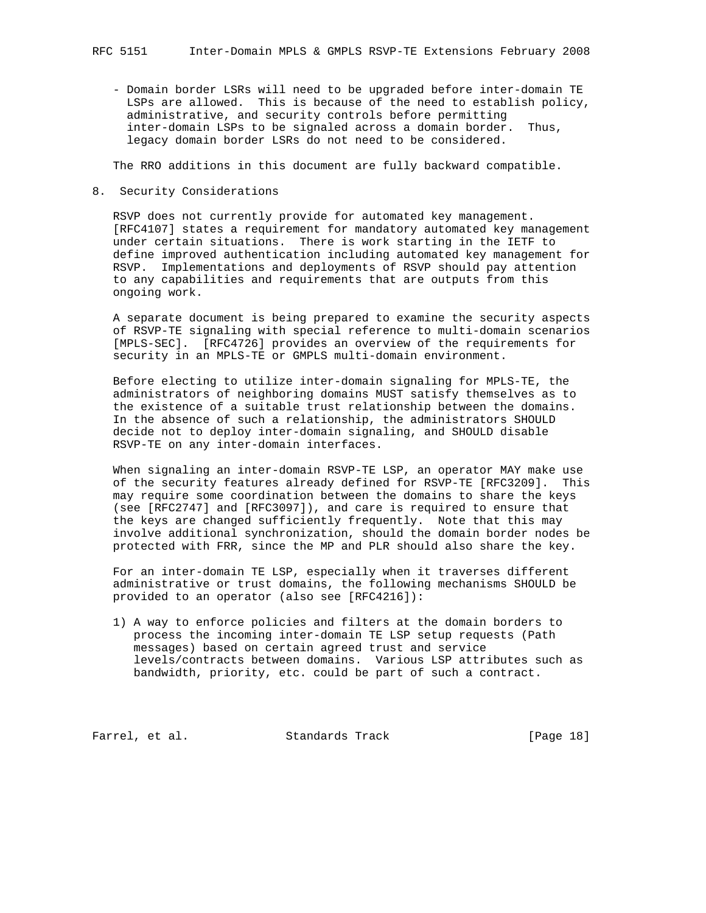- Domain border LSRs will need to be upgraded before inter-domain TE LSPs are allowed. This is because of the need to establish policy, administrative, and security controls before permitting inter-domain LSPs to be signaled across a domain border. Thus, legacy domain border LSRs do not need to be considered.

The RRO additions in this document are fully backward compatible.

8. Security Considerations

 RSVP does not currently provide for automated key management. [RFC4107] states a requirement for mandatory automated key management under certain situations. There is work starting in the IETF to define improved authentication including automated key management for RSVP. Implementations and deployments of RSVP should pay attention to any capabilities and requirements that are outputs from this ongoing work.

 A separate document is being prepared to examine the security aspects of RSVP-TE signaling with special reference to multi-domain scenarios [MPLS-SEC]. [RFC4726] provides an overview of the requirements for security in an MPLS-TE or GMPLS multi-domain environment.

 Before electing to utilize inter-domain signaling for MPLS-TE, the administrators of neighboring domains MUST satisfy themselves as to the existence of a suitable trust relationship between the domains. In the absence of such a relationship, the administrators SHOULD decide not to deploy inter-domain signaling, and SHOULD disable RSVP-TE on any inter-domain interfaces.

 When signaling an inter-domain RSVP-TE LSP, an operator MAY make use of the security features already defined for RSVP-TE [RFC3209]. This may require some coordination between the domains to share the keys (see [RFC2747] and [RFC3097]), and care is required to ensure that the keys are changed sufficiently frequently. Note that this may involve additional synchronization, should the domain border nodes be protected with FRR, since the MP and PLR should also share the key.

 For an inter-domain TE LSP, especially when it traverses different administrative or trust domains, the following mechanisms SHOULD be provided to an operator (also see [RFC4216]):

 1) A way to enforce policies and filters at the domain borders to process the incoming inter-domain TE LSP setup requests (Path messages) based on certain agreed trust and service levels/contracts between domains. Various LSP attributes such as bandwidth, priority, etc. could be part of such a contract.

Farrel, et al. Standards Track [Page 18]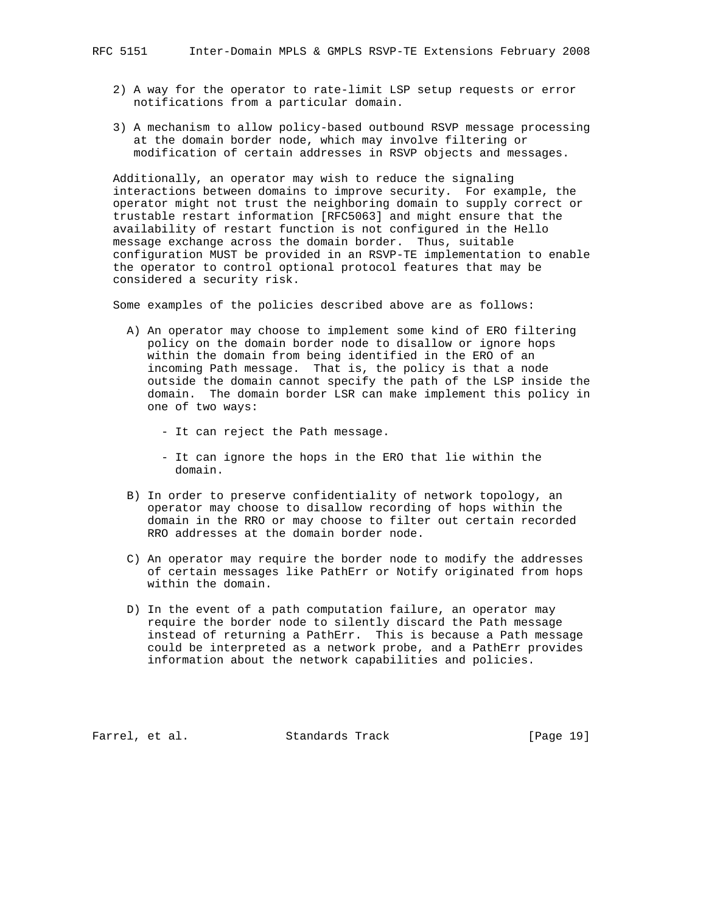- 2) A way for the operator to rate-limit LSP setup requests or error notifications from a particular domain.
- 3) A mechanism to allow policy-based outbound RSVP message processing at the domain border node, which may involve filtering or modification of certain addresses in RSVP objects and messages.

 Additionally, an operator may wish to reduce the signaling interactions between domains to improve security. For example, the operator might not trust the neighboring domain to supply correct or trustable restart information [RFC5063] and might ensure that the availability of restart function is not configured in the Hello message exchange across the domain border. Thus, suitable configuration MUST be provided in an RSVP-TE implementation to enable the operator to control optional protocol features that may be considered a security risk.

Some examples of the policies described above are as follows:

- A) An operator may choose to implement some kind of ERO filtering policy on the domain border node to disallow or ignore hops within the domain from being identified in the ERO of an incoming Path message. That is, the policy is that a node outside the domain cannot specify the path of the LSP inside the domain. The domain border LSR can make implement this policy in one of two ways:
	- It can reject the Path message.
	- It can ignore the hops in the ERO that lie within the domain.
- B) In order to preserve confidentiality of network topology, an operator may choose to disallow recording of hops within the domain in the RRO or may choose to filter out certain recorded RRO addresses at the domain border node.
- C) An operator may require the border node to modify the addresses of certain messages like PathErr or Notify originated from hops within the domain.
- D) In the event of a path computation failure, an operator may require the border node to silently discard the Path message instead of returning a PathErr. This is because a Path message could be interpreted as a network probe, and a PathErr provides information about the network capabilities and policies.

Farrel, et al. Standards Track [Page 19]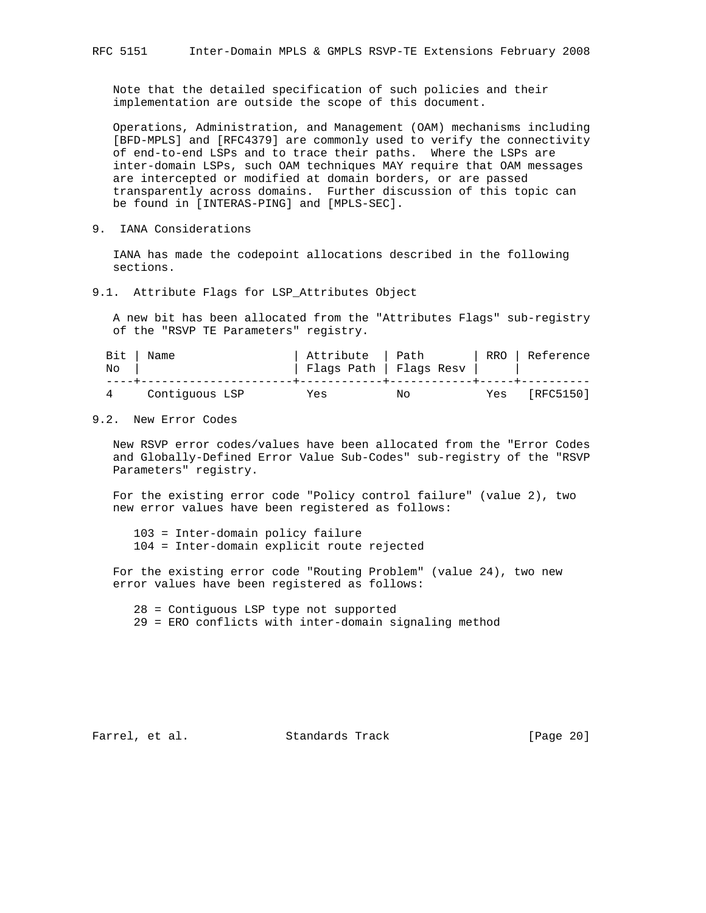Note that the detailed specification of such policies and their implementation are outside the scope of this document.

 Operations, Administration, and Management (OAM) mechanisms including [BFD-MPLS] and [RFC4379] are commonly used to verify the connectivity of end-to-end LSPs and to trace their paths. Where the LSPs are inter-domain LSPs, such OAM techniques MAY require that OAM messages are intercepted or modified at domain borders, or are passed transparently across domains. Further discussion of this topic can be found in [INTERAS-PING] and [MPLS-SEC].

9. IANA Considerations

 IANA has made the codepoint allocations described in the following sections.

9.1. Attribute Flags for LSP\_Attributes Object

 A new bit has been allocated from the "Attributes Flags" sub-registry of the "RSVP TE Parameters" registry.

| Bit<br>No | Name           | Attribute   Path<br>Flags Path   Flags Resv |    |     | RRO   Reference |  |
|-----------|----------------|---------------------------------------------|----|-----|-----------------|--|
|           | Contiquous LSP | Yes                                         | Nο | Yes | [RFC5150]       |  |

### 9.2. New Error Codes

 New RSVP error codes/values have been allocated from the "Error Codes and Globally-Defined Error Value Sub-Codes" sub-registry of the "RSVP Parameters" registry.

 For the existing error code "Policy control failure" (value 2), two new error values have been registered as follows:

 103 = Inter-domain policy failure 104 = Inter-domain explicit route rejected

 For the existing error code "Routing Problem" (value 24), two new error values have been registered as follows:

28 = Contiguous LSP type not supported

29 = ERO conflicts with inter-domain signaling method

Farrel, et al. Standards Track [Page 20]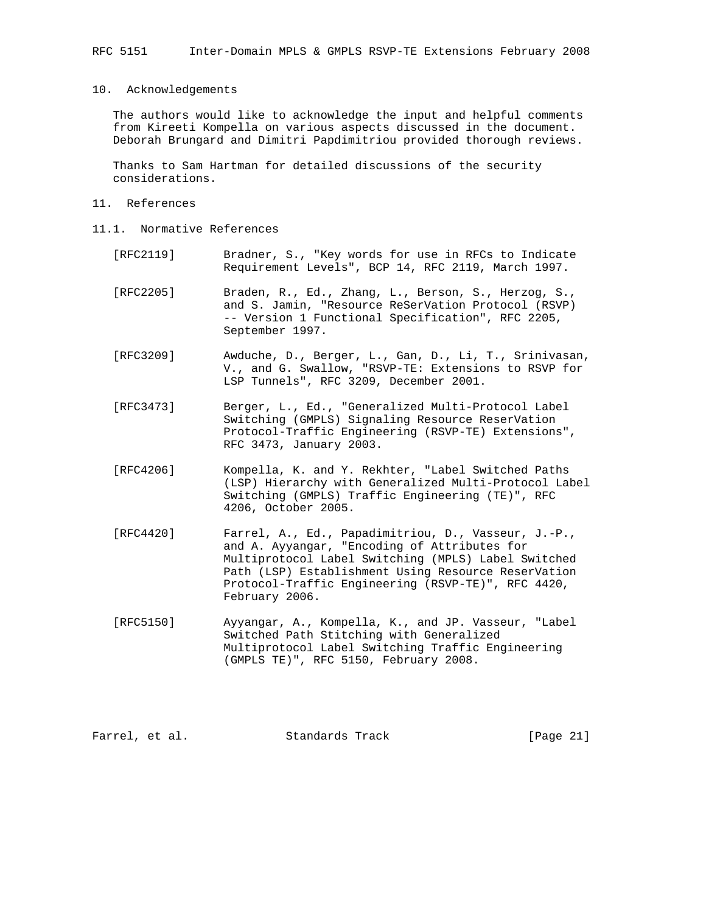# 10. Acknowledgements

 The authors would like to acknowledge the input and helpful comments from Kireeti Kompella on various aspects discussed in the document. Deborah Brungard and Dimitri Papdimitriou provided thorough reviews.

 Thanks to Sam Hartman for detailed discussions of the security considerations.

#### 11. References

- 11.1. Normative References
	- [RFC2119] Bradner, S., "Key words for use in RFCs to Indicate Requirement Levels", BCP 14, RFC 2119, March 1997.
	- [RFC2205] Braden, R., Ed., Zhang, L., Berson, S., Herzog, S., and S. Jamin, "Resource ReSerVation Protocol (RSVP) -- Version 1 Functional Specification", RFC 2205, September 1997.
	- [RFC3209] Awduche, D., Berger, L., Gan, D., Li, T., Srinivasan, V., and G. Swallow, "RSVP-TE: Extensions to RSVP for LSP Tunnels", RFC 3209, December 2001.
	- [RFC3473] Berger, L., Ed., "Generalized Multi-Protocol Label Switching (GMPLS) Signaling Resource ReserVation Protocol-Traffic Engineering (RSVP-TE) Extensions", RFC 3473, January 2003.
	- [RFC4206] Kompella, K. and Y. Rekhter, "Label Switched Paths (LSP) Hierarchy with Generalized Multi-Protocol Label Switching (GMPLS) Traffic Engineering (TE)", RFC 4206, October 2005.
	- [RFC4420] Farrel, A., Ed., Papadimitriou, D., Vasseur, J.-P., and A. Ayyangar, "Encoding of Attributes for Multiprotocol Label Switching (MPLS) Label Switched Path (LSP) Establishment Using Resource ReserVation Protocol-Traffic Engineering (RSVP-TE)", RFC 4420, February 2006.
	- [RFC5150] Ayyangar, A., Kompella, K., and JP. Vasseur, "Label Switched Path Stitching with Generalized Multiprotocol Label Switching Traffic Engineering (GMPLS TE)", RFC 5150, February 2008.

Farrel, et al. Standards Track [Page 21]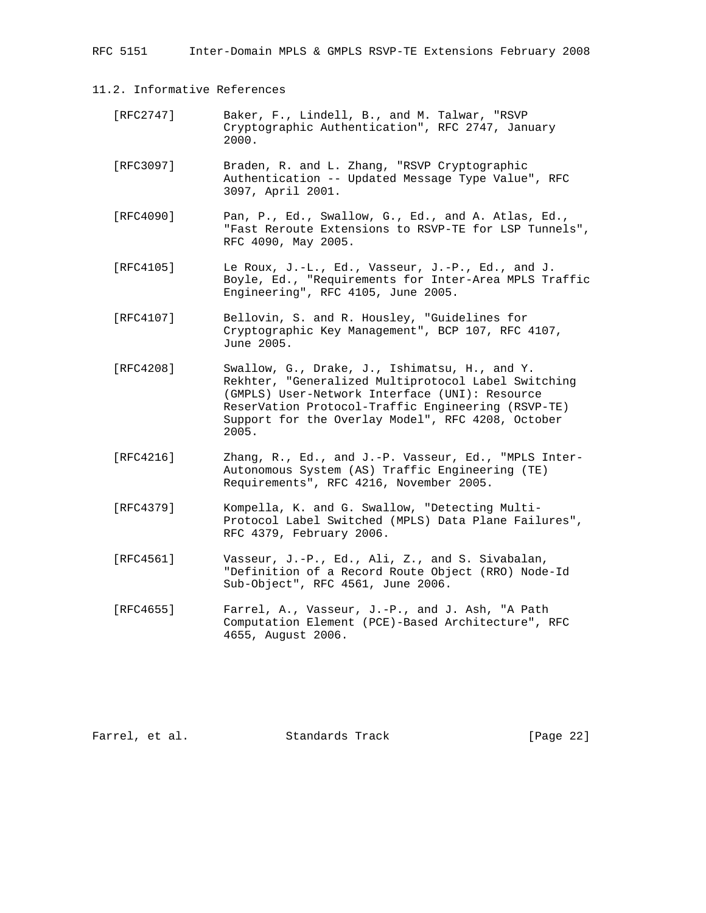RFC 5151 Inter-Domain MPLS & GMPLS RSVP-TE Extensions February 2008

11.2. Informative References

| [RFC2747] | Baker, F., Lindell, B., and M. Talwar, "RSVP     |  |
|-----------|--------------------------------------------------|--|
|           | Cryptographic Authentication", RFC 2747, January |  |
|           | 2000.                                            |  |

- [RFC3097] Braden, R. and L. Zhang, "RSVP Cryptographic Authentication -- Updated Message Type Value", RFC 3097, April 2001.
- [RFC4090] Pan, P., Ed., Swallow, G., Ed., and A. Atlas, Ed., "Fast Reroute Extensions to RSVP-TE for LSP Tunnels", RFC 4090, May 2005.
- [RFC4105] Le Roux, J.-L., Ed., Vasseur, J.-P., Ed., and J. Boyle, Ed., "Requirements for Inter-Area MPLS Traffic Engineering", RFC 4105, June 2005.
- [RFC4107] Bellovin, S. and R. Housley, "Guidelines for Cryptographic Key Management", BCP 107, RFC 4107, June 2005.
- [RFC4208] Swallow, G., Drake, J., Ishimatsu, H., and Y. Rekhter, "Generalized Multiprotocol Label Switching (GMPLS) User-Network Interface (UNI): Resource ReserVation Protocol-Traffic Engineering (RSVP-TE) Support for the Overlay Model", RFC 4208, October 2005.
- [RFC4216] Zhang, R., Ed., and J.-P. Vasseur, Ed., "MPLS Inter- Autonomous System (AS) Traffic Engineering (TE) Requirements", RFC 4216, November 2005.
- [RFC4379] Kompella, K. and G. Swallow, "Detecting Multi- Protocol Label Switched (MPLS) Data Plane Failures", RFC 4379, February 2006.
- [RFC4561] Vasseur, J.-P., Ed., Ali, Z., and S. Sivabalan, "Definition of a Record Route Object (RRO) Node-Id Sub-Object", RFC 4561, June 2006.
- [RFC4655] Farrel, A., Vasseur, J.-P., and J. Ash, "A Path Computation Element (PCE)-Based Architecture", RFC 4655, August 2006.

Farrel, et al. Standards Track [Page 22]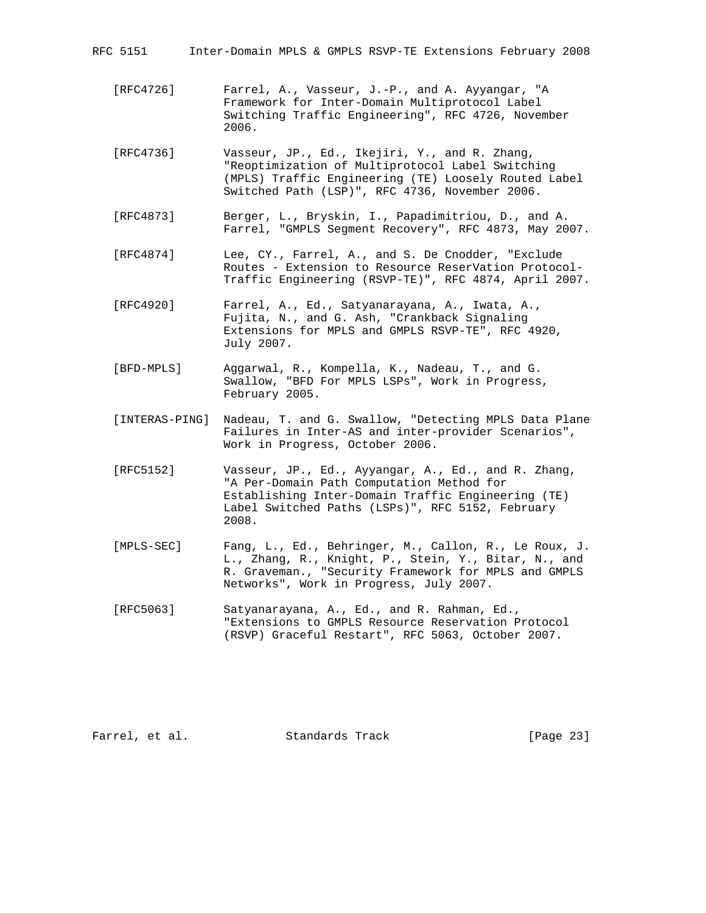| Inter-Domain MPLS & GMPLS RSVP-TE Extensions February 2008<br>RFC 5151 |  |  |  |  |  |  |
|------------------------------------------------------------------------|--|--|--|--|--|--|
|------------------------------------------------------------------------|--|--|--|--|--|--|

- [RFC4726] Farrel, A., Vasseur, J.-P., and A. Ayyangar, "A Framework for Inter-Domain Multiprotocol Label Switching Traffic Engineering", RFC 4726, November 2006.
- [RFC4736] Vasseur, JP., Ed., Ikejiri, Y., and R. Zhang, "Reoptimization of Multiprotocol Label Switching (MPLS) Traffic Engineering (TE) Loosely Routed Label Switched Path (LSP)", RFC 4736, November 2006.
- [RFC4873] Berger, L., Bryskin, I., Papadimitriou, D., and A. Farrel, "GMPLS Segment Recovery", RFC 4873, May 2007.
- [RFC4874] Lee, CY., Farrel, A., and S. De Cnodder, "Exclude Routes - Extension to Resource ReserVation Protocol- Traffic Engineering (RSVP-TE)", RFC 4874, April 2007.
- [RFC4920] Farrel, A., Ed., Satyanarayana, A., Iwata, A., Fujita, N., and G. Ash, "Crankback Signaling Extensions for MPLS and GMPLS RSVP-TE", RFC 4920, July 2007.
- [BFD-MPLS] Aggarwal, R., Kompella, K., Nadeau, T., and G. Swallow, "BFD For MPLS LSPs", Work in Progress, February 2005.
- [INTERAS-PING] Nadeau, T. and G. Swallow, "Detecting MPLS Data Plane Failures in Inter-AS and inter-provider Scenarios", Work in Progress, October 2006.
- [RFC5152] Vasseur, JP., Ed., Ayyangar, A., Ed., and R. Zhang, "A Per-Domain Path Computation Method for Establishing Inter-Domain Traffic Engineering (TE) Label Switched Paths (LSPs)", RFC 5152, February 2008.
- [MPLS-SEC] Fang, L., Ed., Behringer, M., Callon, R., Le Roux, J. L., Zhang, R., Knight, P., Stein, Y., Bitar, N., and R. Graveman., "Security Framework for MPLS and GMPLS Networks", Work in Progress, July 2007.
- [RFC5063] Satyanarayana, A., Ed., and R. Rahman, Ed., "Extensions to GMPLS Resource Reservation Protocol (RSVP) Graceful Restart", RFC 5063, October 2007.

Farrel, et al. Standards Track [Page 23]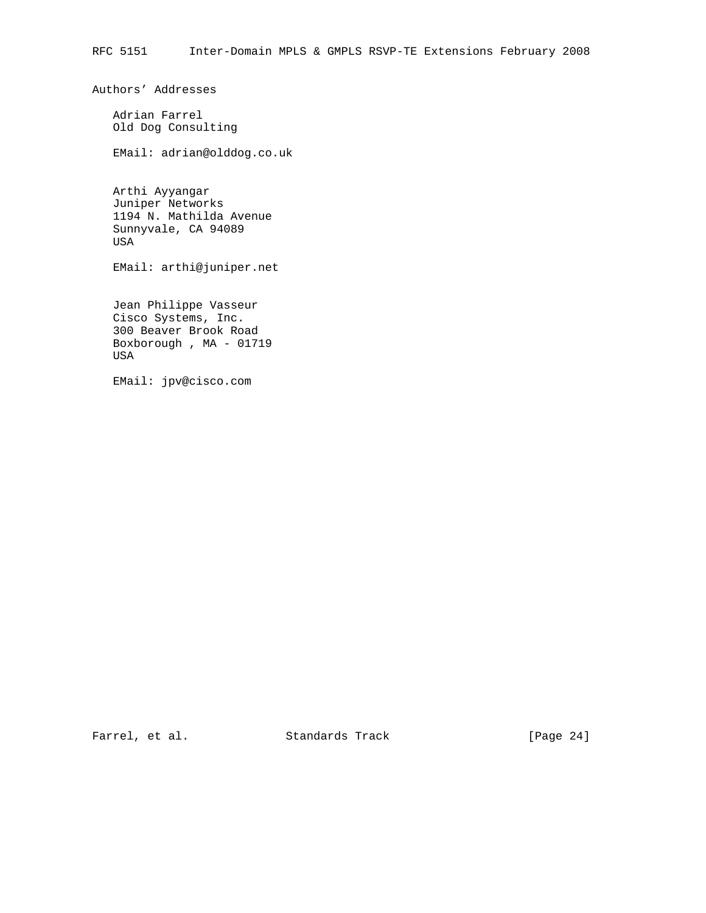Authors' Addresses

 Adrian Farrel Old Dog Consulting

EMail: adrian@olddog.co.uk

 Arthi Ayyangar Juniper Networks 1194 N. Mathilda Avenue Sunnyvale, CA 94089 USA

EMail: arthi@juniper.net

 Jean Philippe Vasseur Cisco Systems, Inc. 300 Beaver Brook Road Boxborough , MA - 01719 USA

EMail: jpv@cisco.com

Farrel, et al. Standards Track [Page 24]